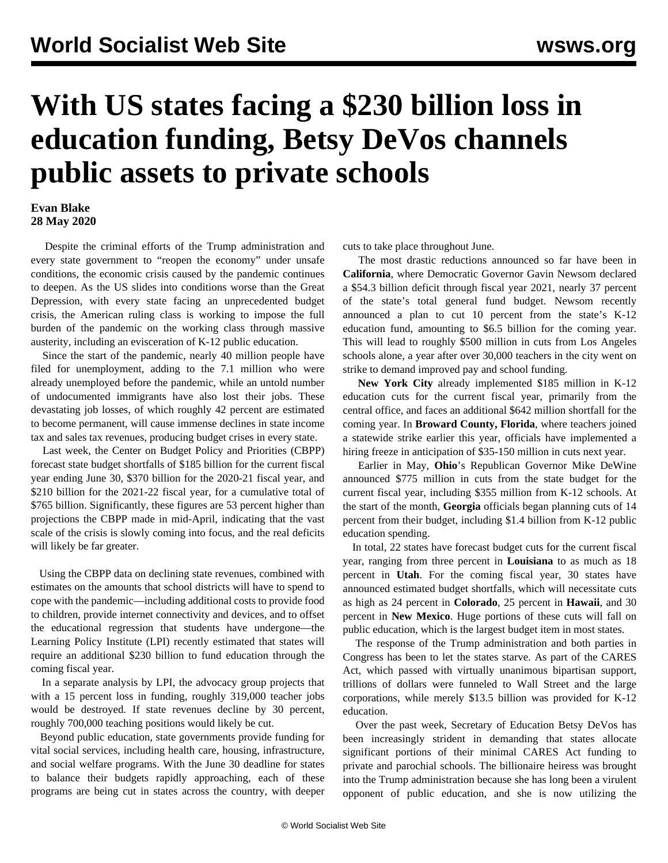## **With US states facing a \$230 billion loss in education funding, Betsy DeVos channels public assets to private schools**

## **Evan Blake 28 May 2020**

 Despite the criminal efforts of the Trump administration and every state government to "reopen the economy" under unsafe conditions, the economic crisis caused by the pandemic continues to deepen. As the US slides into conditions worse than the Great Depression, with every state facing an unprecedented budget crisis, the American ruling class is working to impose the full burden of the pandemic on the working class through massive austerity, including an evisceration of K-12 public education.

 Since the start of the pandemic, nearly 40 million people have filed for unemployment, adding to the 7.1 million who were already unemployed before the pandemic, while an untold number of undocumented immigrants have also lost their jobs. These devastating job losses, of which roughly 42 percent are estimated to become permanent, will cause immense declines in state income tax and sales tax revenues, producing budget crises in every state.

 Last week, the Center on Budget Policy and Priorities (CBPP) forecast state budget shortfalls of \$185 billion for the current fiscal year ending June 30, \$370 billion for the 2020-21 fiscal year, and \$210 billion for the 2021-22 fiscal year, for a cumulative total of \$765 billion. Significantly, these figures are 53 percent higher than projections the CBPP made in mid-April, indicating that the vast scale of the crisis is slowly coming into focus, and the real deficits will likely be far greater.

 Using the CBPP data on declining state revenues, combined with estimates on the amounts that school districts will have to spend to cope with the pandemic—including additional costs to provide food to children, provide internet connectivity and devices, and to offset the educational regression that students have undergone—the Learning Policy Institute (LPI) recently estimated that states will require an additional \$230 billion to fund education through the coming fiscal year.

 In a separate analysis by LPI, the advocacy group projects that with a 15 percent loss in funding, roughly 319,000 teacher jobs [would be destroyed](/en/articles/2020/05/18/budg-m18.html). If state revenues decline by 30 percent, roughly 700,000 teaching positions would likely be cut.

 Beyond public education, state governments provide funding for vital social services, including health care, housing, infrastructure, and social welfare programs. With the June 30 deadline for states to balance their budgets rapidly approaching, each of these programs are being cut in states across the country, with deeper

cuts to take place throughout June.

 The most drastic reductions announced so far have been in **California**, where Democratic Governor Gavin Newsom declared a \$54.3 billion deficit through fiscal year 2021, nearly 37 percent of the state's total general fund budget. Newsom recently announced a plan to cut 10 percent from the state's K-12 education fund, amounting to \$6.5 billion for the coming year. This will lead to roughly \$500 million in cuts from Los Angeles schools alone, a year after over 30,000 teachers in the city went on strike to demand improved pay and school funding.

 **New York City** already implemented \$185 million in K-12 education cuts for the current fiscal year, primarily from the central office, and faces an additional \$642 million shortfall for the coming year. In **Broward County, Florida**, where teachers joined a statewide strike earlier this year, officials have implemented a hiring freeze in anticipation of \$35-150 million in cuts next year.

 Earlier in May, **Ohio**'s Republican Governor Mike DeWine announced \$775 million in cuts from the state budget for the current fiscal year, including \$355 million from K-12 schools. At the start of the month, **Georgia** officials began planning cuts of 14 percent from their budget, including \$1.4 billion from K-12 public education spending.

 In total, 22 states have forecast budget cuts for the current fiscal year, ranging from three percent in **Louisiana** to as much as 18 percent in **Utah**. For the coming fiscal year, 30 states have announced estimated budget shortfalls, which will necessitate cuts as high as 24 percent in **Colorado**, 25 percent in **Hawaii**, and 30 percent in **New Mexico**. Huge portions of these cuts will fall on public education, which is the largest budget item in most states.

 The response of the Trump administration and both parties in Congress has been to let the states starve. As part of the CARES Act, which passed with virtually unanimous bipartisan support, trillions of dollars were funneled to Wall Street and the large corporations, while merely \$13.5 billion was provided for K-12 education.

 Over the past week, Secretary of Education Betsy DeVos has been increasingly strident in demanding that states allocate significant portions of their minimal CARES Act funding to private and parochial schools. The billionaire heiress was brought into the Trump administration because she has long been a virulent opponent of public education, and she is now utilizing the